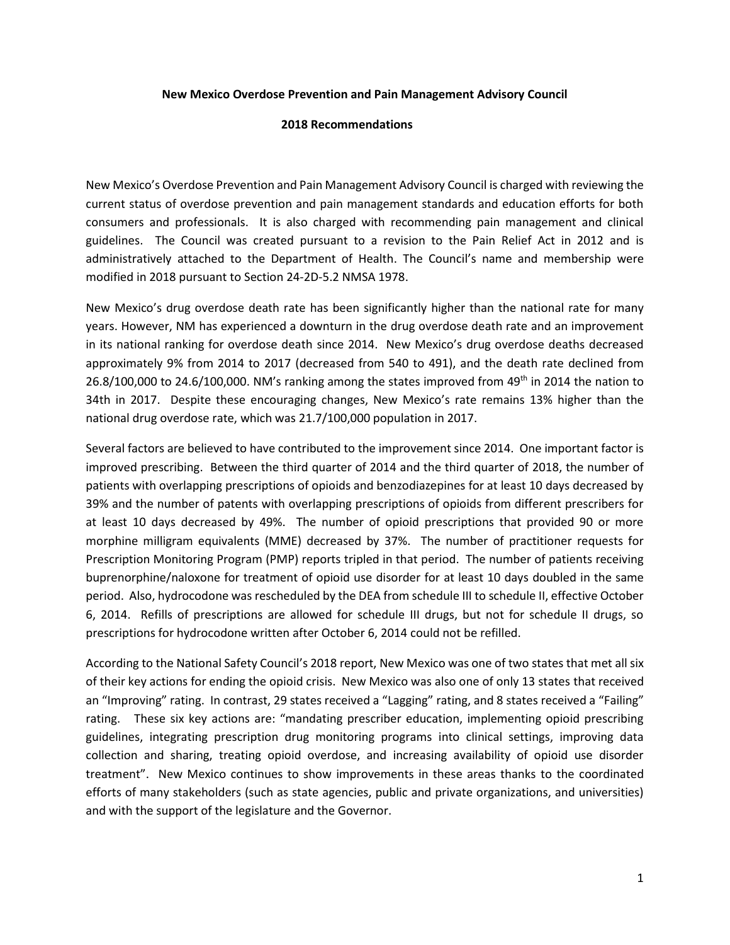## **New Mexico Overdose Prevention and Pain Management Advisory Council**

## **2018 Recommendations**

New Mexico's Overdose Prevention and Pain Management Advisory Council is charged with reviewing the current status of overdose prevention and pain management standards and education efforts for both consumers and professionals. It is also charged with recommending pain management and clinical guidelines. The Council was created pursuant to a revision to the Pain Relief Act in 2012 and is administratively attached to the Department of Health. The Council's name and membership were modified in 2018 pursuant to Section 24-2D-5.2 NMSA 1978.

New Mexico's drug overdose death rate has been significantly higher than the national rate for many years. However, NM has experienced a downturn in the drug overdose death rate and an improvement in its national ranking for overdose death since 2014. New Mexico's drug overdose deaths decreased approximately 9% from 2014 to 2017 (decreased from 540 to 491), and the death rate declined from 26.8/100,000 to 24.6/100,000. NM's ranking among the states improved from 49<sup>th</sup> in 2014 the nation to 34th in 2017. Despite these encouraging changes, New Mexico's rate remains 13% higher than the national drug overdose rate, which was 21.7/100,000 population in 2017.

Several factors are believed to have contributed to the improvement since 2014. One important factor is improved prescribing. Between the third quarter of 2014 and the third quarter of 2018, the number of patients with overlapping prescriptions of opioids and benzodiazepines for at least 10 days decreased by 39% and the number of patents with overlapping prescriptions of opioids from different prescribers for at least 10 days decreased by 49%. The number of opioid prescriptions that provided 90 or more morphine milligram equivalents (MME) decreased by 37%. The number of practitioner requests for Prescription Monitoring Program (PMP) reports tripled in that period. The number of patients receiving buprenorphine/naloxone for treatment of opioid use disorder for at least 10 days doubled in the same period. Also, hydrocodone was rescheduled by the DEA from schedule III to schedule II, effective October 6, 2014. Refills of prescriptions are allowed for schedule III drugs, but not for schedule II drugs, so prescriptions for hydrocodone written after October 6, 2014 could not be refilled.

According to the National Safety Council's 2018 report, New Mexico was one of two states that met all six of their key actions for ending the opioid crisis. New Mexico was also one of only 13 states that received an "Improving" rating. In contrast, 29 states received a "Lagging" rating, and 8 states received a "Failing" rating. These six key actions are: "mandating prescriber education, implementing opioid prescribing guidelines, integrating prescription drug monitoring programs into clinical settings, improving data collection and sharing, treating opioid overdose, and increasing availability of opioid use disorder treatment". New Mexico continues to show improvements in these areas thanks to the coordinated efforts of many stakeholders (such as state agencies, public and private organizations, and universities) and with the support of the legislature and the Governor.